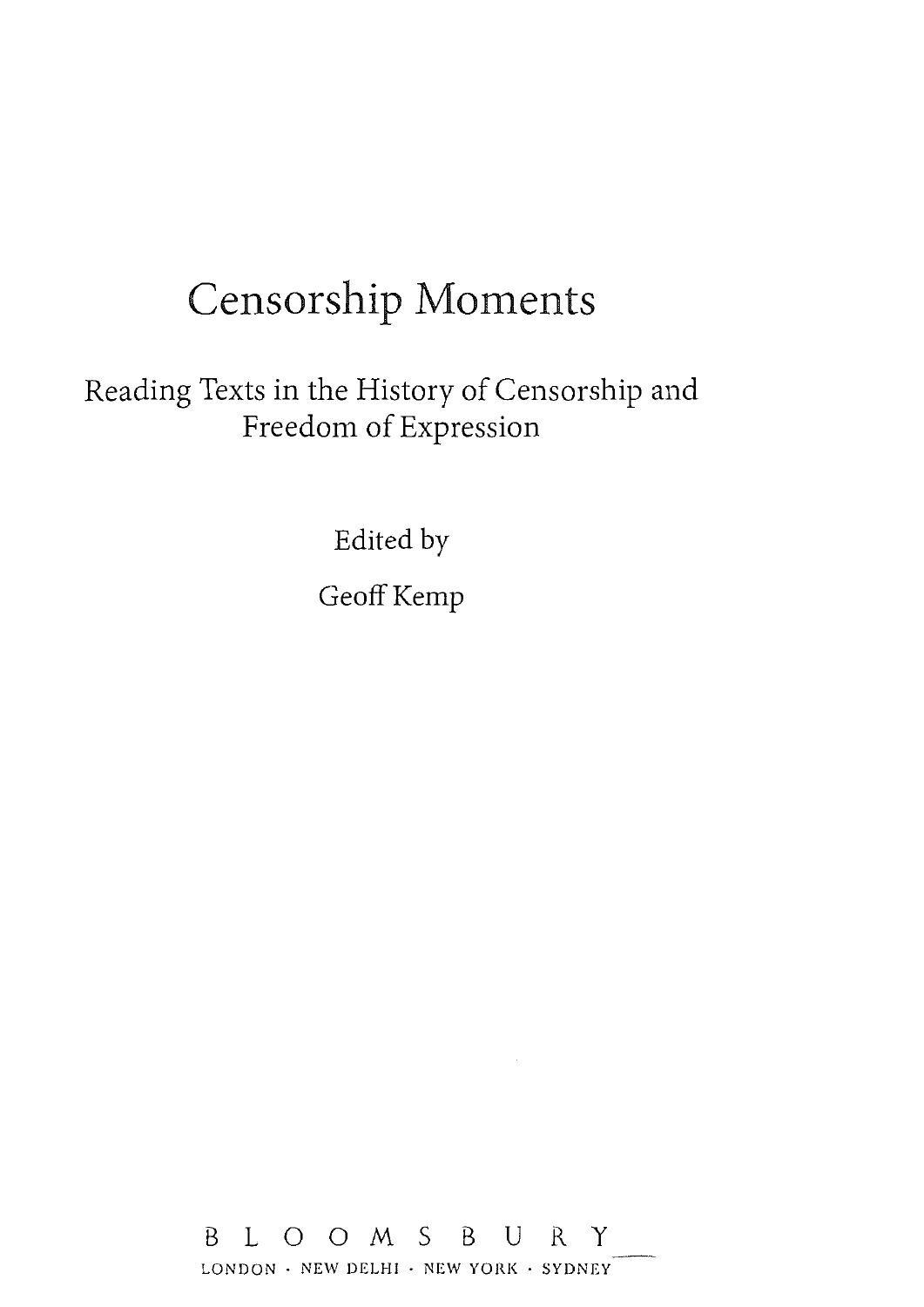# Censorship Moments

Reading Texts in the History of Censorship and Freedom of Expression

Edited by

Geoff Kemp

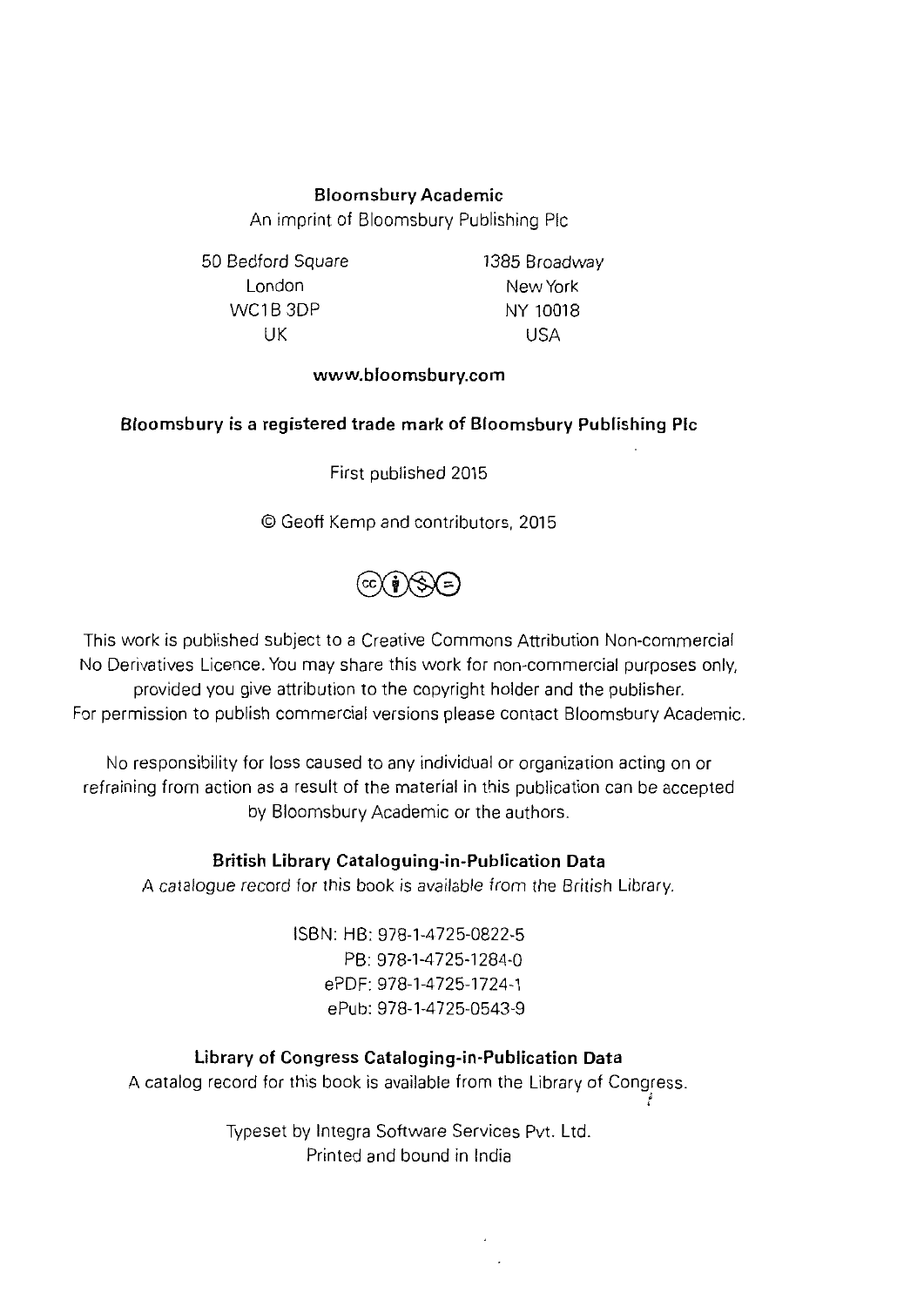# **Bloomsbury Academic**

An imprint of Bloomsbury Publishing Pie

50 Bedford Square London WC1B 3DP UK

1385 Broadway New York NY 10018 USA

## **www.bloomsbury.com**

#### **Bloomsbury** is a **registered trade mark of Bloomsbury Publishing Pie**

First published 2015

©Geoff Kemp and contributors, 2015



This work is published subject to a Creative Commons Attribution Non-commercial No Derivatives Licence. You may share this work for non-commercial purposes only, provided you give attribution to the copyright holder and the publisher. For permission to publish commercial versions please contact Bloomsbury Academic.

No responsibility for loss caused to any individual or organization acting on or refraining from action as a result of the material in this publication can be accepted by Bloomsbury Academic or the authors.

#### **British Library Cataloguing-in-Publication Data**

A catalogue record for this book is available from the British Library.

ISBN: HB: 978-1-4725-0822-5 PB: 978-1-4725-1284-0 ePDF: 978-1-4725-1724-1 ePub: 978-1-4725-0543-9

#### **Library of Congress Cataloging-in-Publication Data**

A catalog record for this book is available from the Library of Congress. ' '

> Typeset by lntegra Software Services Pvt. Ltd. Printed and bound in India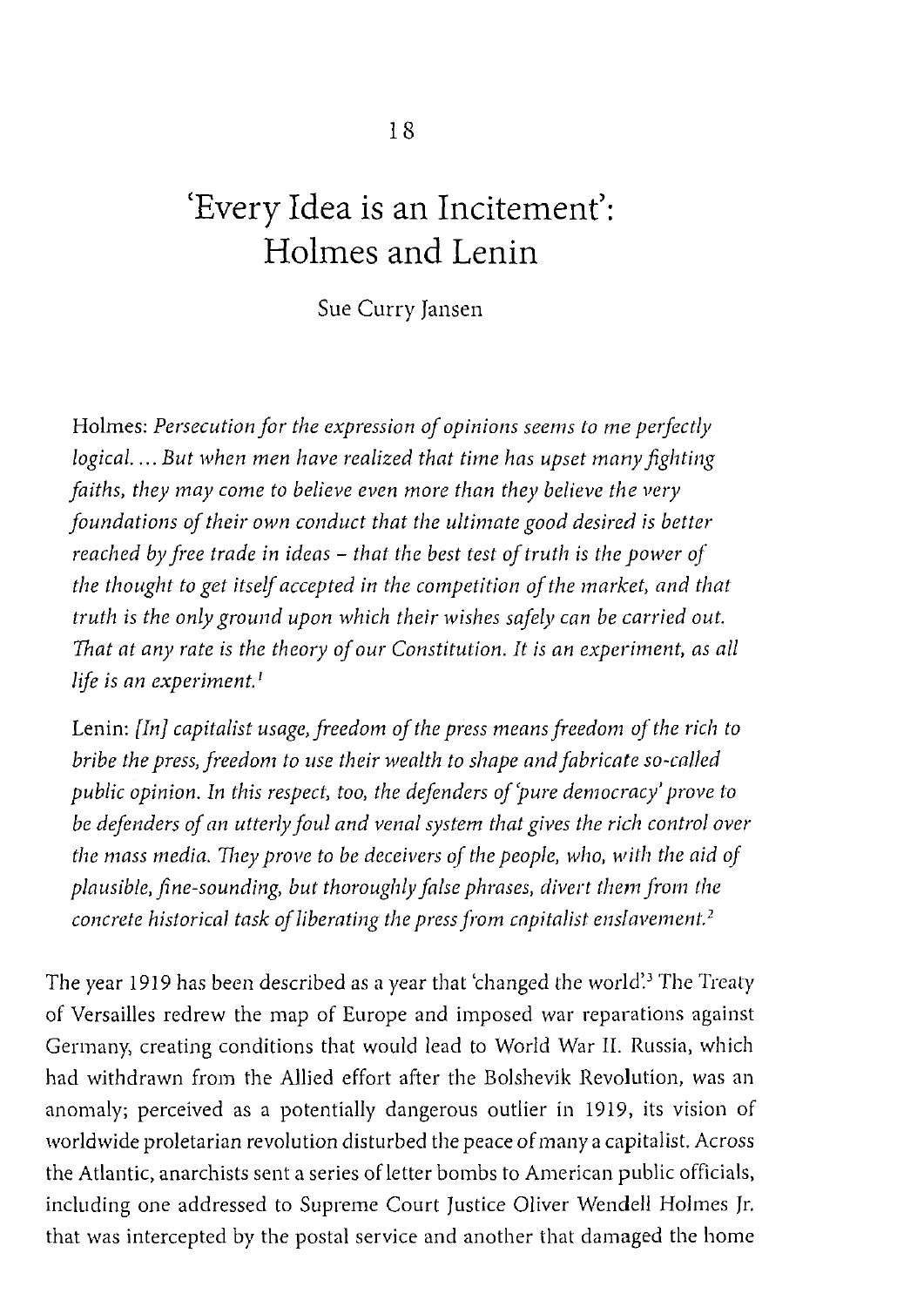# **'Every Idea is an Incitement': Holmes and Lenin**

Sue Curry Jansen

Holmes: *Persecution for the expression of opinions seems to me petfectly logical .... But when men have realized that time has upset many fighting faiths, they may come to believe even more than they believe the very foundations of their own conduct that the ultimate good desired is better reached by free trade in ideas* - *that the best test of truth is the power of the thought to get itself accepted in the competition of the market, and that truth is the only ground upon which their wishes safely can be carried out. That at any rate is the theory of our Constitution.* It *is an experiment, as all life is an experiment.* <sup>1</sup>

Lenin: *[In] capitalist usage, freedom of the press means freedom of the rich to bribe the press, freedom to use their wealth to shape and fabricate so-called public opinion. In this respect, too, the defenders of 'pure democracy' prove to be defenders of an utterly foul and venal system that gives the rich control over the mass media. They prove to be deceivers of the people, who, with the aid of plausible, fine-sounding, but thoroughly false phrases, divert them from the concrete historical task of liberating the press from capitalist enslavemenl. <sup>2</sup>*

The year 1919 has been described as a year that 'changed the world'.<sup>3</sup> The Treaty of Versailles redrew the map of Europe and imposed war reparations against Germany, creating conditions that would lead to World War II. Russia, which had withdrawn from the Allied effort after the Bolshevik Revolution, was an anomaly; perceived as a potentially dangerous outlier in 1919, its vision of worldwide proletarian revolution disturbed the peace of many a capitalist. Across the Atlantic, anarchists sent a series of letter bombs to American public officials, including one addressed to Supreme Court Justice Oliver Wendell Holmes Jr. that was intercepted by the postal service and another that damaged the home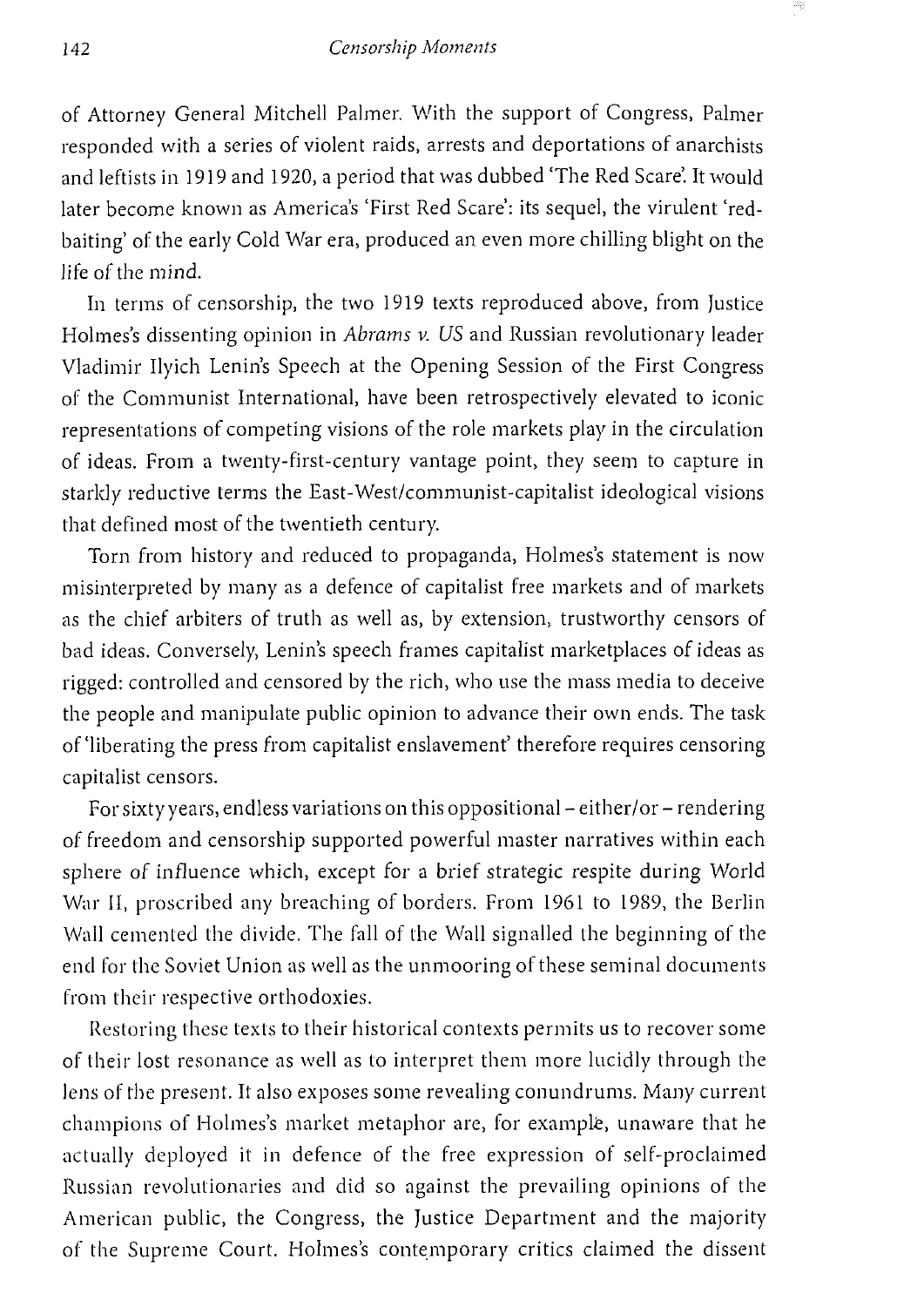of Attorney General Mitchell Palmer. With the support of Congress, Palmer responded with a series of violent raids, arrests and deportations of anarchists and leftists in 1919 and 1920, a period that was dubbed 'The Red Scare'. It would later become known as America's 'First Red Scare': its sequel, the virulent 'redbaiting' of the early Cold War era, produced an even more chilling blight on the life of the mind.

In terms of censorship, the two 1919 texts reproduced above, from Justice Holmes's dissenting opinion in *Abrams v. US* and Russian revolutionary leader Vladimir Ilyich Lenin's Speech at the Opening Session of the First Congress of the Communist International, have been retrospectively elevated to iconic representations of competing visions of the role markets play in the circulation of ideas. From a twenty-first-century vantage point, they seem to capture in starkly reductive terms the East-West/communist-capitalist ideological visions that defined most of the twentieth century.

Torn from history and reduced to propaganda, Holmes's statement is now misinterpreted by many as a defence of capitalist free markets and of markets as the chief arbiters of truth as well as, by extension, trustworthy censors of bad ideas. Conversely, Lenin's speech frames capitalist marketplaces of ideas as rigged: controlled and censored by the rich, who use the mass media to deceive the people and manipulate public opinion to advance their own ends. The task of'liberating the press from capitalist enslavement' therefore requires censoring capitalist censors.

For sixty years, endless variations on this oppositional - either/or - rendering of freedom and censorship supported powerful master narratives within each sphere of influence which, except for a brief strategic respite during World War II, proscribed any breaching of borders. From 1961 to 1989, the Berlin Wall cemented the divide. The fall of the Wall signalled the beginning of the end for the Soviet Union as well as the unmooring of these seminal documents from their respective orthodoxies.

Restoring these texts to their historical contexts permits us to recover some of their lost resonance as well as to interpret them more lucidly through the lens of the present. It also exposes some revealing conundrums. Many current champions of Holmes's market metaphor are, for example, unaware that he actually deployed it in defence of the free expression of self-proclaimed Russian revolutionaries and did so against the prevailing opinions of the American public, the Congress, the Justice Department and the majority of the Supreme Court. Holmes's contemporary critics claimed the dissent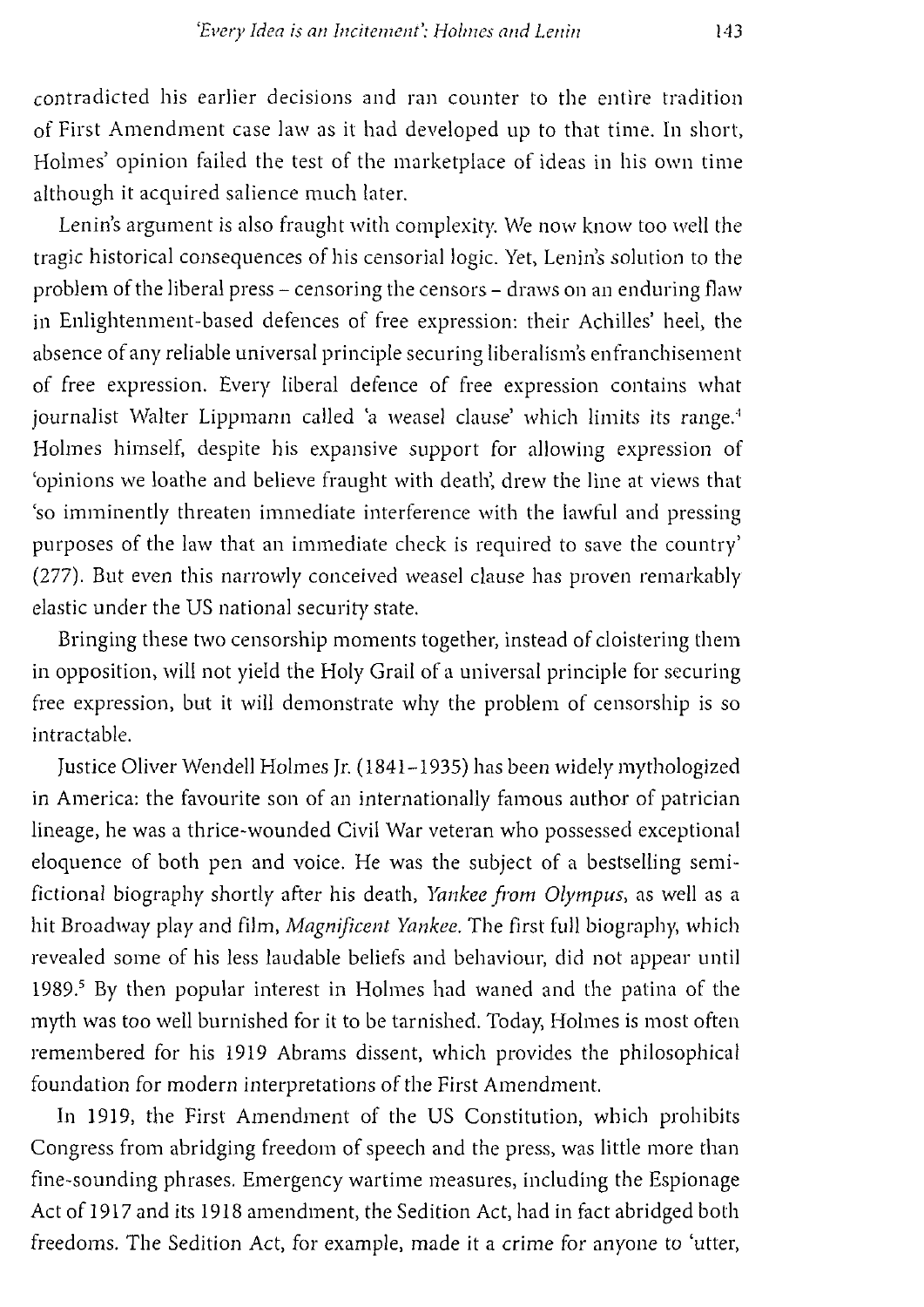contradicted his earlier decisions and ran counter to the entire tradition of First Amendment case law as it had developed up to that time. In short, Holmes' opinion failed the test of the marketplace of ideas in his own time although it acquired salience much later.

Lenin's argument is also fraught with complexity. We now know too well the tragic historical consequences of his censorial logic. Yet, Lenin's solution to the problem of the liberal press - censoring the censors - draws on an enduring flaw in Enlightenment-based defences of free expression: their Achilles' heel, the absence of any reliable universal principle securing liberalism's enfranchisement of free expression. Every liberal defence of free expression contains what journalist Walter Lippmann called 'a weasel clause' which limits its range.<sup>4</sup> *Holmes* himself, despite his expansive support for allowing expression of 'opinions we loathe and believe fraught with death', drew the line at views that 'so imminently threaten immediate interference with the lawful and pressing purposes of the law that an immediate check is required to save the country' (277). But even this narrowly conceived weasel clause has proven remarkably elastic under the US national security state.

Bringing these two censorship moments together, instead of cloistering them in opposition, will not yield the Holy Grail of a universal principle for securing free expression, but it will demonstrate why the problem of censorship is so intractable.

Justice Oliver Wendell Holmes Jr. (1841-1935) has been widely mythologized in America: the favourite son of an internationally famous author of patrician lineage, he was a thrice-wounded Civil War veteran who possessed exceptional eloquence of both pen and voice. He was the subject of a bestselling semifictional biography shortly after his death, *Yankee from Olympus,* as well as a hit Broadway play and film, *Magnificent Yankee.* The first full biography, which revealed some of his less laudable beliefs and behaviour, did not appear until 1989.5 By then popular interest in Holmes had waned and the patina of the myth was too well burnished for it to be tarnished. Today, Holmes is most often remembered for his 1919 Abrams dissent, which provides the philosophical foundation for modern interpretations of the First Amendment.

In 1919, the First Amendment of the US Constitution, which prohibits Congress from abridging freedom of speech and the press, was little more than fine-sounding phrases. Emergency wartime measures, including the Espionage Act of 1917 and its 1918 amendment, the Sedition Act, had in fact abridged both freedoms. The Sedition Act, for example, made it a crime for anyone to 'utter,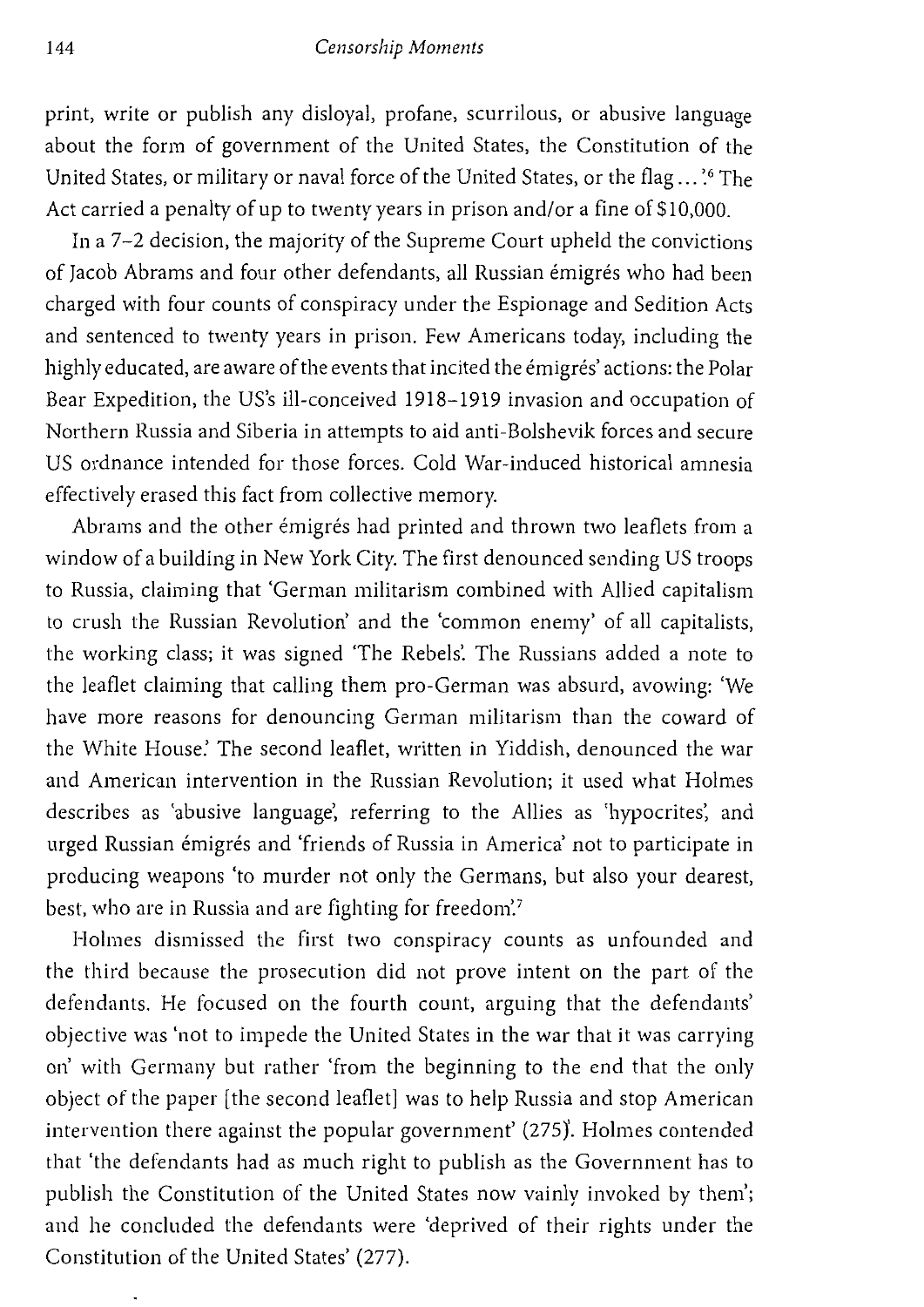## 144 *Censorship Moments*

print, write or publish any disloyal, profane, scurrilous, or abusive language about the form of government of the United States, the Constitution of the United States, or military or naval force of the United States, or the flag ...'<sup>6</sup> The Act carried a penalty of up to twenty years in prison and/or a fine of \$10,000.

In a 7-2 decision, the majority of the Supreme Court upheld the convictions of Jacob Abrams and four other defendants, all Russian émigrés who had been charged with four counts of conspiracy under the Espionage and Sedition Acts and sentenced to twenty years in prison. Few Americans today, including the highly educated, are aware of the events that incited the émigrés' actions: the Polar Bear Expedition, the US's ill-conceived 1918-1919 invasion and occupation of Northern Russia and Siberia in attempts to aid anti-Bolshevik forces and secure US ordnance intended for those forces. Cold War-induced historical amnesia effectively erased this fact from collective memory.

Abrams and the other émigrés had printed and thrown two leaflets from a window of a building in New York City. The first denounced sending US troops to Russia, claiming that 'German militarism combined with Allied capitalism to crush the Russian Revolution' and the 'common enemy' of all capitalists, the working class; it was signed 'The Rebels'. The Russians added a note to the leaflet claiming that calling them pro-German was absurd, avowing: 'We have more reasons for denouncing German militarism than the coward of the White House: The second leaflet, written in Yiddish, denounced the war and American intervention in the Russian Revolution; it used what Holmes describes as 'abusive language', referring to the Allies as 'hypocrites', and urged Russian émigrés and 'friends of Russia in America' not to participate in producing weapons 'to murder not only the Germans, but also your dearest, best, who are in Russia and are fighting for freedom.<sup>7</sup>

Holmes dismissed the first two conspiracy counts as unfounded and the third because the prosecution did not prove intent on the part of the defendants. He focused on the fourth count, arguing that the defendants' objective was 'not to impede the United States in the war that it was carrying on' with Germany but rather 'from the beginning to the end that the only object of the paper [the second leaflet] was to help Russia and stop American intervention there against the popular government' (275)'. Holmes contended that 'the defendants had as much right to publish as the Government has to publish the Constitution of the United States now vainly invoked by them'; and he concluded the defendants were 'deprived of their rights under the Constitution of the United States' (277).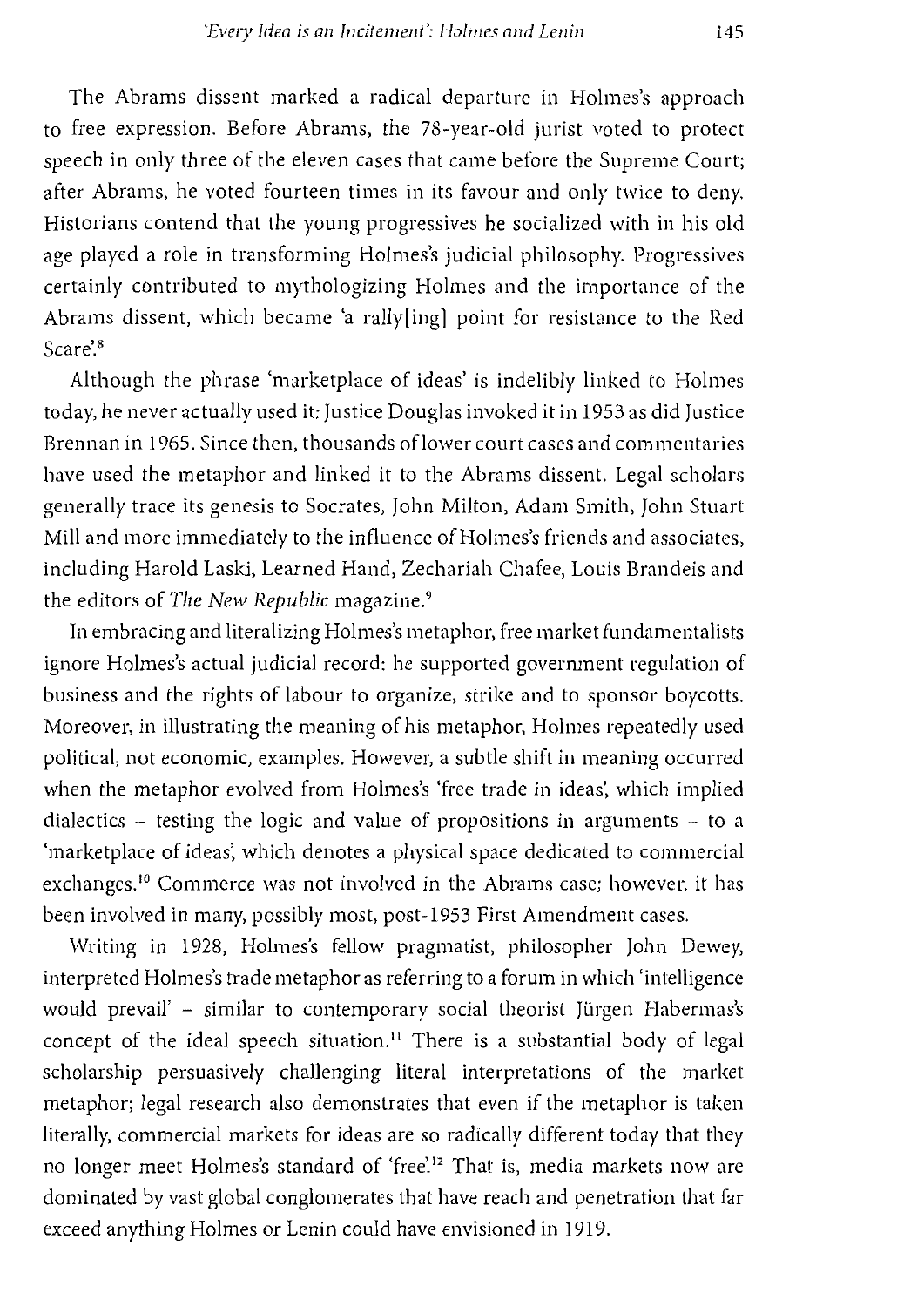The Abrams dissent marked a radical departure in Holmes's approach to free expression. Before Abrams, the 78-year-old jurist voted to protect speech in only three of the eleven cases that came before the Supreme Court; after Abrams, he voted fourteen times in its favour and only twice to deny. Historians contend that the young progressives he socialized with in his old age played a role in transforming Holmes's judicial philosophy. Progressives certainly contributed to mythologizing Holmes and the importance of the Abrams dissent, which became 'a rally[ing] point for resistance to the Red Scare'.<sup>8</sup>

Although the phrase 'marketplace of ideas' is indelibly linked to Holmes today, he never actually used it: Justice Douglas invoked it in 1953 as did Justice Brennan in 1965. Since then, thousands oflower court cases and commentaries have used the metaphor and linked it to the Abrams dissent. Legal scholars generally trace its genesis to Socrates, John Milton, Adam Smith, John Stuart Mill and more immediately to the influence of Holmes's friends and associates, including Harold Laski, Learned Hand, Zechariah Chafee, Louis Brandeis and the editors of *The New Republic* magazine. <sup>9</sup>

In embracing and literalizing Holmes's metaphor, free market fundamentalists ignore Holmes's actual judicial record: he supported government regulation of business and the rights of labour to organize, strike and to sponsor boycotts. Moreover, in illustrating the meaning of his metaphor, Holmes repeatedly used political, not economic, examples. However, a subtle shift in meaning occurred when the metaphor evolved from Holmes's 'free trade in ideas', which implied dialectics - testing the logic and value of propositions in arguments - to a 'marketplace of ideas', which denotes a physical space dedicated to commercial exchanges.<sup>10</sup> Commerce was not involved in the Abrams case; however, it has been involved in many, possibly most, post-1953 First Amendment cases.

Writing in 1928, Holmes's fellow pragmatist, philosopher John Dewey, interpreted Holmes's trade metaphor as referring to a forum in which 'intelligence would prevail' - similar to contemporary social theorist Jürgen Habermas's concept of the ideal speech situation.<sup>11</sup> There is a substantial body of legal scholarship persuasively challenging literal interpretations of the market metaphor; legal research also demonstrates that even if the metaphor is taken literally, commercial markets for ideas are so radically different today that they no longer meet Holmes's standard of 'free'.<sup>12</sup> That is, media markets now are dominated by vast global conglomerates that have reach and penetration that far exceed anything Holmes or Lenin could have envisioned in 1919.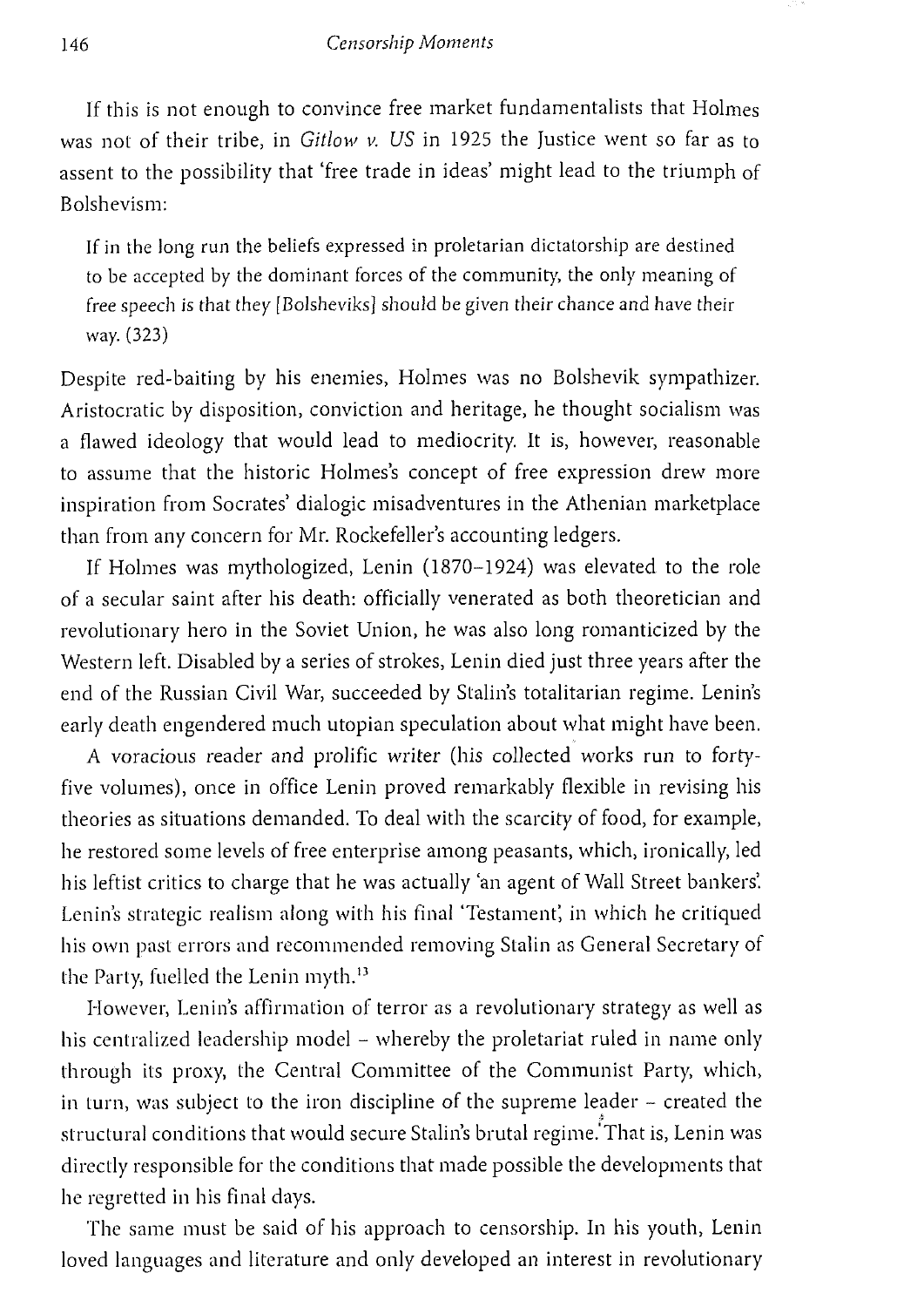If this is not enough to convince free market fundamentalists that Holmes was not of their tribe, in *Gitlow v. US* in 1925 the Justice went so far as to assent to the possibility that 'free trade in ideas' might lead to the triumph of Bolshevism:

If in the long run the beliefs expressed in proletarian dictatorship are destined to be accepted by the dominant forces of the community, the only meaning of free speech is that they [Bolsheviks] should be given their chance and have their way. (323)

Despite red-baiting by his enemies, Holmes was no Bolshevik sympathizer. Aristocratic by disposition, conviction and heritage, he thought socialism was a flawed ideology that would lead to mediocrity. It is, however, reasonable to assume that the historic Holmes's concept of free expression drew more inspiration from Socrates' dialogic misadventures in the Athenian marketplace than from any concern for Mr. Rockefeller's accounting ledgers.

If Holmes was mythologized, Lenin (1870-1924) was elevated to the role of a secular saint after his death: officially venerated as both theoretician and revolutionary hero in the Soviet Union, he was also long romanticized by the Western left. Disabled by a series of strokes, Lenin died just three years after the end of the Russian Civil War, succeeded by Stalin's totalitarian regime. Lenin's early death engendered much utopian speculation about what might have been.

A voracious reader and prolific writer (his collected works run to fortyfive volumes), once in office Lenin proved remarkably flexible in revising his theories as situations demanded. To deal with the scarcity of food, for example, he restored some levels of free enterprise among peasants, which, ironically, led his leftist critics to charge that he was actually 'an agent of Wall Street bankers'. Lenin's strategic realism along with his final 'Testament; in which he critiqued his own past errors and recommended removing Stalin as General Secretary of the Party, fuelled the Lenin myth. <sup>13</sup>

However, Lenin's affirmation of terror as a revolutionary strategy as well as his centralized leadership model – whereby the proletariat ruled in name only through its proxy, the Central Committee of the Communist Party, which, in turn, was subject to the iron discipline of the supreme leader - created the structural conditions that would secure Stalin's brutal regime. That is, Lenin was directly responsible for the conditions that made possible the developments that he regretted in his final days.

The same must be said of his approach to censorship. In his youth, Lenin loved languages and literature and only developed an interest in revolutionary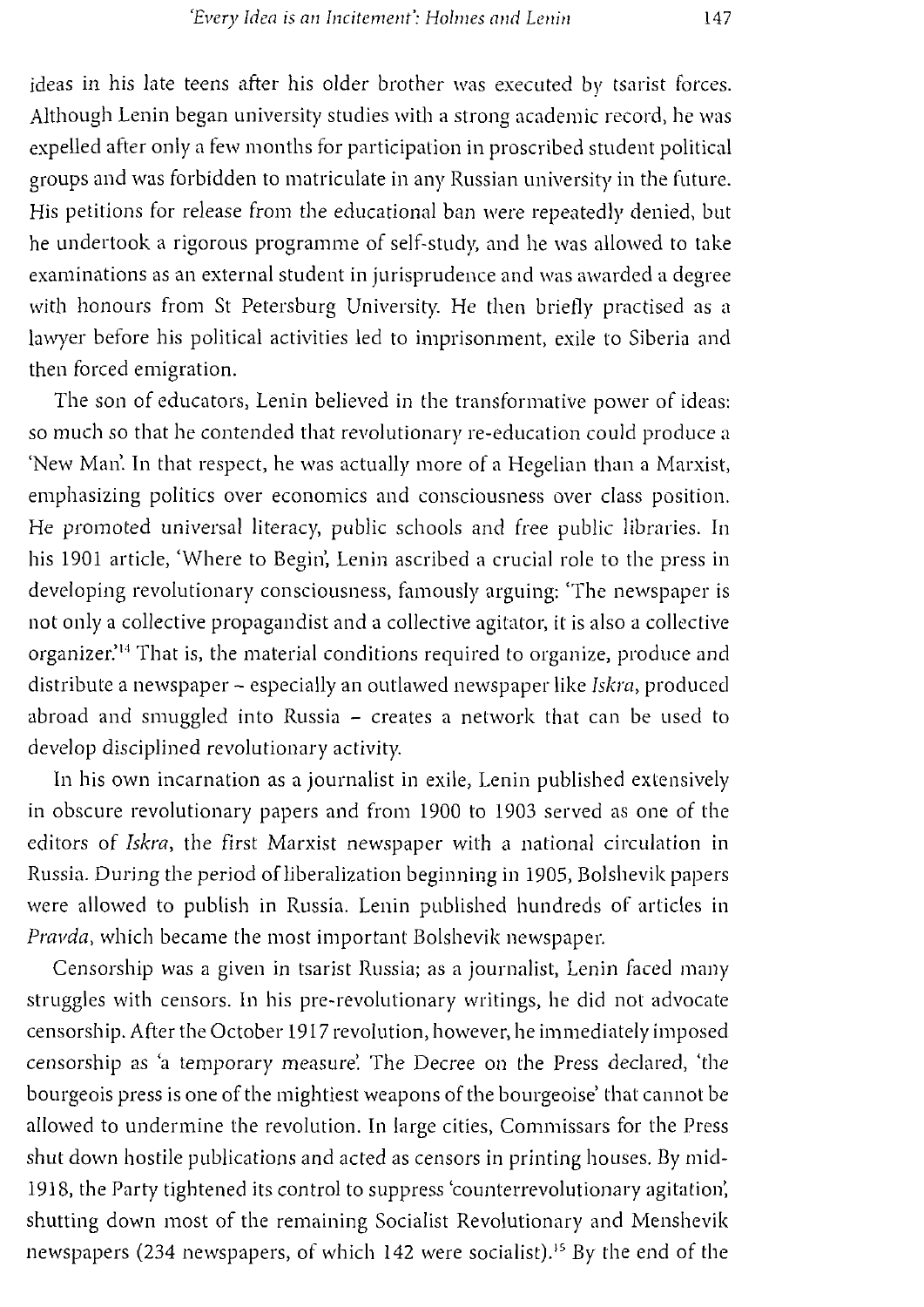ideas in his late teens after his older brother was executed by tsarist forces. Although Lenin began university studies with a strong academic record, he was expelled after only a few months for participation in proscribed student political groups and was forbidden to matriculate in any Russian university in the future. His petitions for release from the educational ban were repeatedly denied, but he undertook a rigorous programme of self-study, and he was allowed to take examinations as an external student in jurisprudence and was awarded a degree with honours from St Petersburg University. He then briefly practised as a lawyer before his political activities led to imprisonment, exile to Siberia and then forced emigration.

The son of educators, Lenin believed in the transformative power of ideas: so much so that he contended that revolutionary re-education could produce a 'New Man'. In that respect, he was actually more of a Hegelian than a Marxist, emphasizing politics over economics and consciousness over class position. He promoted universal literacy, public schools and free public libraries. In his 1901 article, 'Where to Begin', Lenin ascribed a crucial role to the press in developing revolutionary consciousness, famously arguing: 'The newspaper is not only a collective propagandist and a collective agitator, it is also a collective organizer.<sup>14</sup> That is, the material conditions required to organize, produce and distribute a newspaper - especially an outlawed newspaper like *Iskra,* produced abroad and smuggled into Russia - creates a network that can be used to develop disciplined revolutionary activity.

In his own incarnation as a journalist in exile, Lenin published extensively in obscure revolutionary papers and from 1900 to 1903 served as one of the editors of *Iskra,* the first Marxist newspaper with a national circulation in Russia. During the period of liberalization beginning in 1905, Bolshevik papers were allowed to publish in Russia. Lenin published hundreds of articles in *Pravda,* which became the most important Bolshevik newspaper.

Censorship was a given in tsarist Russia; as a journalist, Lenin faced many struggles with censors. In his pre-revolutionary writings, he did not advocate censorship. After the October 1917 revolution, however, he immediately imposed censorship as 'a temporary measure'. The Decree on the Press declared, 'the bourgeois press is one of the mightiest weapons of the bourgeoise' that cannot be allowed to undermine the revolution. In large cities, Commissars for the Press shut down hostile publications and acted as censors in printing houses. *By* micl-1918, the Party tightened its control to suppress 'counterrevolutionary agitation: shutting down most of the remaining Socialist Revolutionary and Menshevik newspapers (234 newspapers, of which 142 were socialist). <sup>15</sup>*By* the end of the